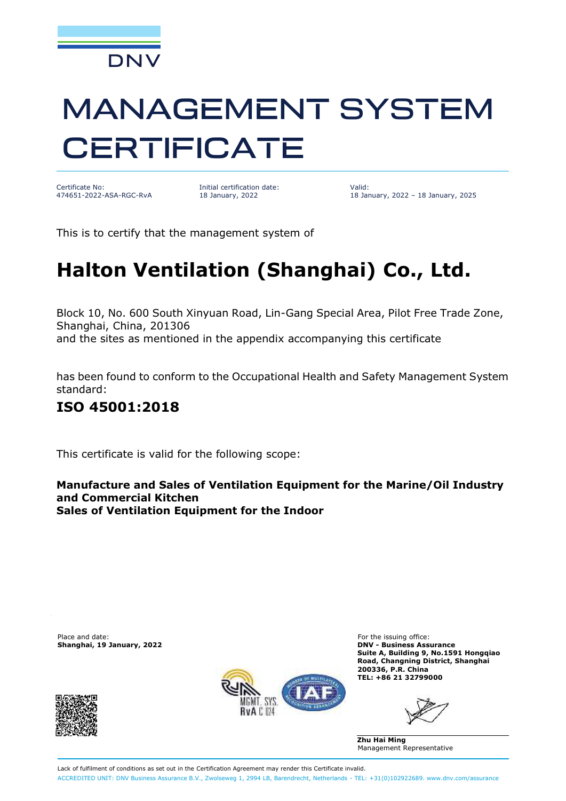

# **MANAGEMENT SYSTEM CERTIFICATE**

Certificate No: 474651-2022-ASA-RGC-RvA

Initial certification date: 18 January, 2022

Valid: 18 January, 2022 – 18 January, 2025

This is to certify that the management system of

## **Halton Ventilation (Shanghai) Co., Ltd.**

Block 10, No. 600 South Xinyuan Road, Lin-Gang Special Area, Pilot Free Trade Zone, Shanghai, China, 201306

and the sites as mentioned in the appendix accompanying this certificate

has been found to conform to the Occupational Health and Safety Management System standard:

### **ISO 45001:2018**

This certificate is valid for the following scope:

**Manufacture and Sales of Ventilation Equipment for the Marine/Oil Industry and Commercial Kitchen Sales of Ventilation Equipment for the Indoor**

Place and date: **For the issuing office:** For the issuing office: **Shanghai, 19 January, 2022 DNV - Business Assurance**





**Suite A, Building 9, No.1591 Hongqiao Road, Changning District, Shanghai 200336, P.R. China TEL: +86 21 32799000**

**Zhu Hai Ming** Management Representative

Lack of fulfilment of conditions as set out in the Certification Agreement may render this Certificate invalid. ACCREDITED UNIT: DNV Business Assurance B.V., Zwolseweg 1, 2994 LB, Barendrecht, Netherlands - TEL: +31(0)102922689. [www.dnv.com/assurance](http://www.dnv.com/assurance)